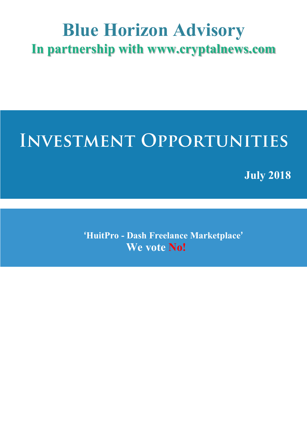### **Blue Horizon Advisory In partnership with www.cryptalnews.com**

### **INVESTMENT OPPORTUNITIES**

**July 2018**

**'HuitPro - Dash Freelance Marketplace' We vote No!**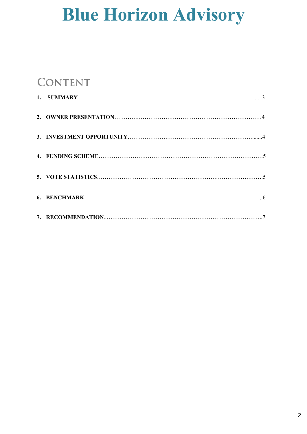### **CONTENT**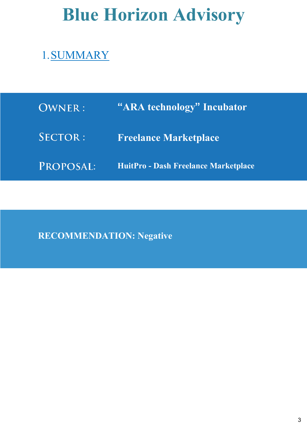### 1.SUMMARY

| <b>OWNER:</b> | "ARA technology" Incubator           |
|---------------|--------------------------------------|
| SECTOR:       | <b>Freelance Marketplace</b>         |
| PROPOSAL:     | HuitPro - Dash Freelance Marketplace |

**RECOMMENDATION: Negative**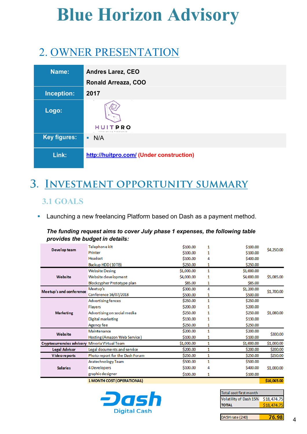### 2. OWNER PRESENTATION

| Name:               | <b>Andres Larez, CEO</b>                 |
|---------------------|------------------------------------------|
|                     | Ronald Arreaza, COO                      |
| Inception:          | 2017                                     |
| Logo:               |                                          |
|                     | HUIT<br><b>PRO</b>                       |
| <b>Key figures:</b> | N/A                                      |
| Link:               | http://huitpro.com/ (Under construction) |

### 3. INVESTMENT OPPORTUNITY SUMMARY

#### **3.1 GOALS**

**EXTERN** Launching a new freelancing Platform based on Dash as a payment method.

#### *The funding request aims to cover July phase 1 expenses, the following table provides the budget in details:*

|                                                | Telephone kit                   | \$100.00   | 1            | \$100.00   | \$4,250.00  |  |
|------------------------------------------------|---------------------------------|------------|--------------|------------|-------------|--|
| Develop team                                   | Printer                         | \$100.00   | 1            | \$100.00   |             |  |
|                                                | Headset                         | \$100.00   | 4            | \$400.00   |             |  |
|                                                | Backup HDD (10TB)               | \$250.00   | 1            | \$250.00   |             |  |
|                                                | <b>Website Desing</b>           | \$1,000.00 | 1            | \$1,000.00 |             |  |
| Website                                        | Website development             | \$4,000.00 | 1            | \$4,000.00 | \$5,085.00  |  |
|                                                | Blockcypher Prototype plan      | \$85.00    | 1            | \$85.00    |             |  |
| Meetup's and conference                        | Meetup's                        | \$300.00   | 4            | \$1,200.00 | \$1,700.00  |  |
|                                                | Conference 16/07/2018           | \$500.00   | 1            | \$500.00   |             |  |
|                                                | <b>Advertising fences</b>       | \$250.00   | $\mathbf{1}$ | \$250.00   |             |  |
|                                                | Flayers                         | \$200.00   | 1            | \$200.00   |             |  |
| <b>Marketing</b>                               | Advertising on social media     | \$250.00   | 1            | \$250.00   | \$1,080.00  |  |
|                                                | <b>Digital marketing</b>        | \$130.00   | 1            | \$130.00   |             |  |
|                                                | Agency fee                      | \$250.00   | 1            | \$250.00   |             |  |
| Website                                        | Maintenance                     | \$200.00   | 1            | \$200.00   |             |  |
|                                                | Hosting (Amazon Web Service)    | \$100.00   | 1            | \$100.00   | \$300.00    |  |
| Cryptocurrencies advisory Mineria Virtual Team |                                 | \$1,000.00 | 1            | \$1,000.00 | \$1,000.00  |  |
| <b>Legal Advisor</b>                           | Legal documents and service     | \$200.00   | 1            | \$200.00   | \$200.00    |  |
| Vide o reports                                 | Photo report for the Dash Forum | \$250.00   | 1            | \$250.00   | \$250.00    |  |
|                                                | Aratechnology Team              | \$500.00   | $\mathbf{1}$ | \$500.00   |             |  |
| <b>Salaries</b>                                | <b>4 Developers</b>             | \$100.00   | 4            | \$400.00   | \$1,000.00  |  |
|                                                | graphic designer                | \$100.00   | 1            | \$100.00   |             |  |
|                                                | 1 MONTH COST (OPERATIONAL)      |            |              |            | \$16,065.00 |  |



| Total cost first month             |             |  |  |
|------------------------------------|-------------|--|--|
| Volatility of Dash 15% \$18,474.75 |             |  |  |
| <b>TOTAL</b>                       | \$18,474.75 |  |  |
|                                    |             |  |  |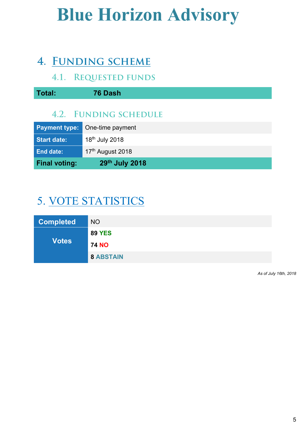### 4. FUNDING SCHEME

#### **4.1. REQUESTED FUNDS**

| Total:                | 76 Dash                    |  |  |  |
|-----------------------|----------------------------|--|--|--|
| 4.2. FUNDING SCHEDULE |                            |  |  |  |
| <b>Payment type:</b>  | One-time payment           |  |  |  |
| <b>Start date:</b>    | 18 <sup>th</sup> July 2018 |  |  |  |
| <b>End date:</b>      | 17th August 2018           |  |  |  |

# **Final voting: 29th July 2018**

### 5. VOTE STATISTICS

| <b>Completed</b> | <b>NO</b>        |
|------------------|------------------|
|                  | <b>89 YES</b>    |
| <b>Votes</b>     | <b>74 NO</b>     |
|                  | <b>8 ABSTAIN</b> |

*As of July 16th, 2018*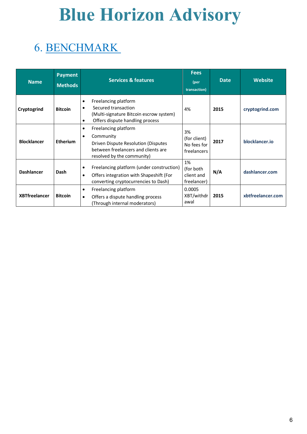### 6. BENCHMARK

| <b>Name</b>          | <b>Payment</b><br><b>Methods</b> | <b>Services &amp; features</b>                                                                                                                                          | <b>Fees</b><br>(per<br>transaction)              | <b>Date</b> | <b>Website</b>    |
|----------------------|----------------------------------|-------------------------------------------------------------------------------------------------------------------------------------------------------------------------|--------------------------------------------------|-------------|-------------------|
| Cryptogrind          | <b>Bitcoin</b>                   | Freelancing platform<br>$\bullet$<br>Secured transaction<br>$\bullet$<br>(Multi-signature Bitcoin escrow system)<br>Offers dispute handling process<br>$\bullet$        | 4%                                               | 2015        | cryptogrind.com   |
| <b>Blocklancer</b>   | <b>Etherium</b>                  | Freelancing platform<br>$\bullet$<br>Community<br>$\bullet$<br>Driven Dispute Resolution (Disputes<br>between freelancers and clients are<br>resolved by the community) | 3%<br>(for client)<br>No fees for<br>freelancers | 2017        | blocklancer.io    |
| <b>Dashlancer</b>    | Dash                             | Freelancing platform (under construction)<br>$\bullet$<br>Offers integration with Shapeshift (For<br>$\bullet$<br>converting cryptocurrencies to Dash)                  | 1%<br>(for both<br>client and<br>freelancer)     | N/A         | dashlancer.com    |
| <b>XBTfreelancer</b> | <b>Bitcoin</b>                   | Freelancing platform<br>$\bullet$<br>Offers a dispute handling process<br>$\bullet$<br>(Through internal moderators)                                                    | 0.0005<br>XBT/withdr<br>awal                     | 2015        | xbtfreelancer.com |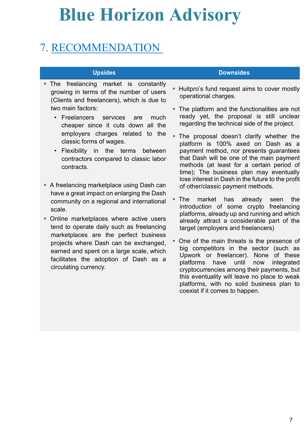### 7. RECOMMENDATION

- The freelancing market is constantly growing in terms of the number of users (Clients and freelancers), which is due to two main factors:
	- Freelancers services are much cheaper since it cuts down all the employers charges related to the classic forms of wages.
	- Flexibility in the terms between contractors compared to classic labor contracts.
- A freelancing marketplace using Dash can have a great impact on enlarging the Dash community on a regional and international scale.
- Online marketplaces where active users tend to operate daily such as freelancing marketplaces are the perfect business projects where Dash can be exchanged, earned and spent on a large scale, which facilitates the adoption of Dash as a circulating currency.

#### **Upsides Downsides**

- **Huitpro's fund request aims to cover mostly** operational charges.
- The platform and the functionalities are not ready yet, the proposal is still unclear regarding the technical side of the project.
- **The proposal doesn't clarify whether the** platform is 100% axed on Dash as a payment method, nor presents guarantees that Dash will be one of the main payment methods (at least for a certain period of time); The business plan may eventually lose interest in Dash in the future to the profit of other/classic payment methods.
- The market has already seen the introduction of some crypto freelancing platforms, already up and running and which already attract a considerable part of the target (employers and freelancers)
- § One of the main threats is the presence of big competitors in the sector (such as Upwork or freelancer). None of these platforms have until now integrated cryptocurrencies among their payments, but this eventuality will leave no place to weak platforms, with no solid business plan to coexist if it comes to happen.